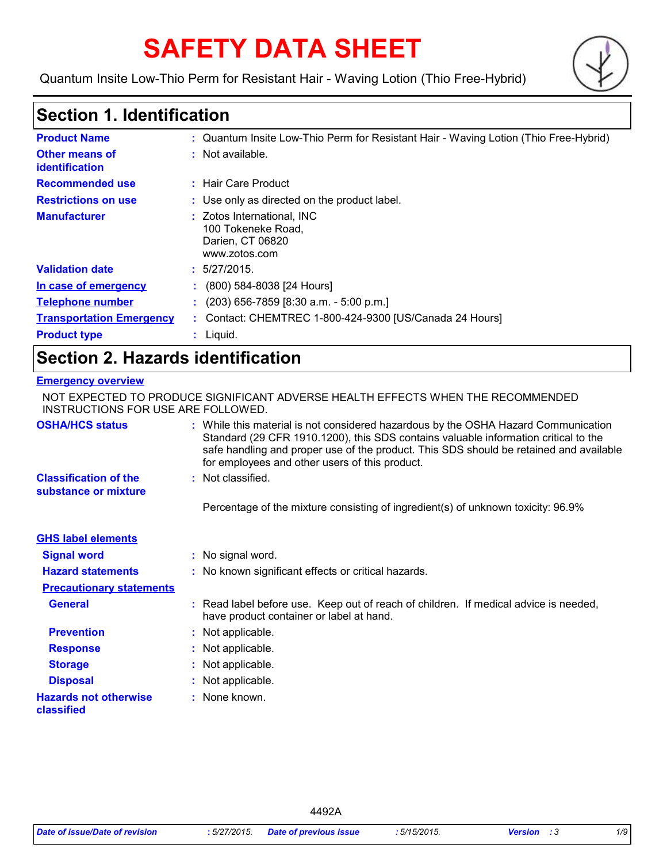# **SAFETY DATA SHEET**

Quantum Insite Low-Thio Perm for Resistant Hair - Waving Lotion (Thio Free-Hybrid)



### **Section 1. Identification**

| <b>Product Name</b>                     | : Quantum Insite Low-Thio Perm for Resistant Hair - Waving Lotion (Thio Free-Hybrid)  |
|-----------------------------------------|---------------------------------------------------------------------------------------|
| <b>Other means of</b><br>identification | $:$ Not available.                                                                    |
| <b>Recommended use</b>                  | : Hair Care Product                                                                   |
| <b>Restrictions on use</b>              | : Use only as directed on the product label.                                          |
| <b>Manufacturer</b>                     | : Zotos International, INC<br>100 Tokeneke Road.<br>Darien, CT 06820<br>www.zotos.com |
| <b>Validation date</b>                  | : 5/27/2015.                                                                          |
| In case of emergency                    | (800) 584-8038 [24 Hours]                                                             |
| <b>Telephone number</b>                 | $(203)$ 656-7859 [8:30 a.m. - 5:00 p.m.]                                              |
| <b>Transportation Emergency</b>         | : Contact: CHEMTREC 1-800-424-9300 [US/Canada 24 Hours]                               |
| <b>Product type</b>                     | $:$ Liquid.                                                                           |

### **Section 2. Hazards identification**

#### **Emergency overview**

| INSTRUCTIONS FOR USE ARE FOLLOWED.                   | NOT EXPECTED TO PRODUCE SIGNIFICANT ADVERSE HEALTH EFFECTS WHEN THE RECOMMENDED                                                                                                                                                                                                                                       |
|------------------------------------------------------|-----------------------------------------------------------------------------------------------------------------------------------------------------------------------------------------------------------------------------------------------------------------------------------------------------------------------|
| <b>OSHA/HCS status</b>                               | : While this material is not considered hazardous by the OSHA Hazard Communication<br>Standard (29 CFR 1910.1200), this SDS contains valuable information critical to the<br>safe handling and proper use of the product. This SDS should be retained and available<br>for employees and other users of this product. |
| <b>Classification of the</b><br>substance or mixture | : Not classified.                                                                                                                                                                                                                                                                                                     |
|                                                      | Percentage of the mixture consisting of ingredient(s) of unknown toxicity: 96.9%                                                                                                                                                                                                                                      |
| <b>GHS label elements</b>                            |                                                                                                                                                                                                                                                                                                                       |
| <b>Signal word</b>                                   | : No signal word.                                                                                                                                                                                                                                                                                                     |
| <b>Hazard statements</b>                             | : No known significant effects or critical hazards.                                                                                                                                                                                                                                                                   |
| <b>Precautionary statements</b>                      |                                                                                                                                                                                                                                                                                                                       |
| <b>General</b>                                       | : Read label before use. Keep out of reach of children. If medical advice is needed,<br>have product container or label at hand.                                                                                                                                                                                      |
| <b>Prevention</b>                                    | : Not applicable.                                                                                                                                                                                                                                                                                                     |
| <b>Response</b>                                      | : Not applicable.                                                                                                                                                                                                                                                                                                     |
| <b>Storage</b>                                       | : Not applicable.                                                                                                                                                                                                                                                                                                     |
| <b>Disposal</b>                                      | : Not applicable.                                                                                                                                                                                                                                                                                                     |
| <b>Hazards not otherwise</b><br>classified           | : None known.                                                                                                                                                                                                                                                                                                         |

4492A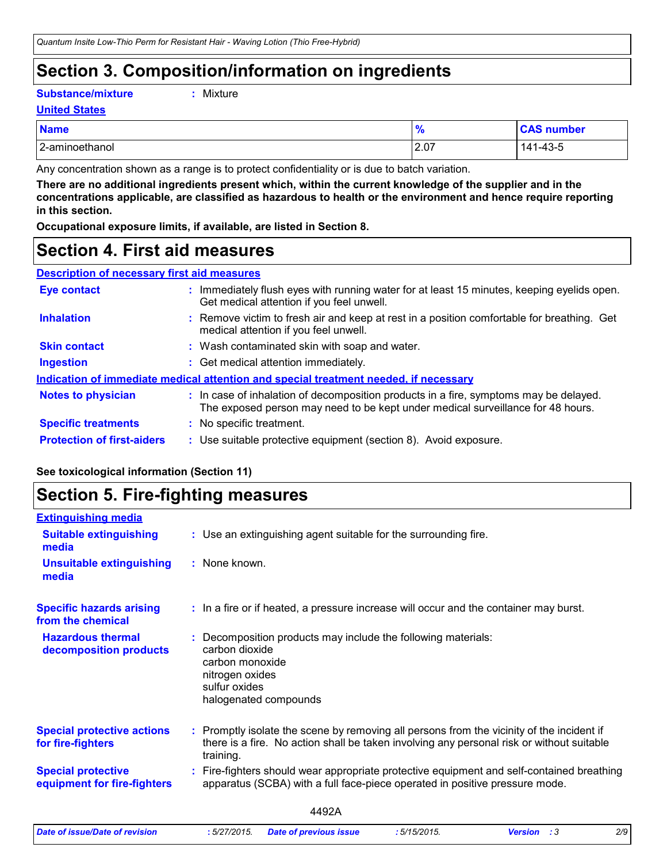### **Section 3. Composition/information on ingredients**

**Substance/mixture :**

```
: Mixture
```
**United States**

| <b>Name</b>    | $\mathbf{0}$<br>70 | <b>CAS number</b>    |
|----------------|--------------------|----------------------|
| 2-aminoethanol | 2.07               | $1 - 43 - 5$<br>141. |

Any concentration shown as a range is to protect confidentiality or is due to batch variation.

**There are no additional ingredients present which, within the current knowledge of the supplier and in the concentrations applicable, are classified as hazardous to health or the environment and hence require reporting in this section.**

**Occupational exposure limits, if available, are listed in Section 8.**

### **Section 4. First aid measures**

| <b>Description of necessary first aid measures</b> |
|----------------------------------------------------|
|----------------------------------------------------|

| Eye contact                                                                          |  | : Immediately flush eyes with running water for at least 15 minutes, keeping eyelids open.<br>Get medical attention if you feel unwell.                                  |  |
|--------------------------------------------------------------------------------------|--|--------------------------------------------------------------------------------------------------------------------------------------------------------------------------|--|
| <b>Inhalation</b>                                                                    |  | : Remove victim to fresh air and keep at rest in a position comfortable for breathing. Get<br>medical attention if you feel unwell.                                      |  |
| <b>Skin contact</b>                                                                  |  | : Wash contaminated skin with soap and water.                                                                                                                            |  |
| <b>Ingestion</b>                                                                     |  | : Get medical attention immediately.                                                                                                                                     |  |
| Indication of immediate medical attention and special treatment needed, if necessary |  |                                                                                                                                                                          |  |
| <b>Notes to physician</b>                                                            |  | : In case of inhalation of decomposition products in a fire, symptoms may be delayed.<br>The exposed person may need to be kept under medical surveillance for 48 hours. |  |
| <b>Specific treatments</b>                                                           |  | : No specific treatment.                                                                                                                                                 |  |
| <b>Protection of first-aiders</b>                                                    |  | : Use suitable protective equipment (section 8). Avoid exposure.                                                                                                         |  |

### **See toxicological information (Section 11)**

### **Section 5. Fire-fighting measures**

| <b>Extinguishing media</b>                               |                                                                                                                                                                                                   |  |
|----------------------------------------------------------|---------------------------------------------------------------------------------------------------------------------------------------------------------------------------------------------------|--|
| <b>Suitable extinguishing</b><br>media                   | : Use an extinguishing agent suitable for the surrounding fire.                                                                                                                                   |  |
| <b>Unsuitable extinguishing</b><br>media                 | : None known.                                                                                                                                                                                     |  |
| <b>Specific hazards arising</b><br>from the chemical     | : In a fire or if heated, a pressure increase will occur and the container may burst.                                                                                                             |  |
| <b>Hazardous thermal</b><br>decomposition products       | Decomposition products may include the following materials:<br>carbon dioxide<br>carbon monoxide<br>nitrogen oxides<br>sulfur oxides<br>halogenated compounds                                     |  |
| <b>Special protective actions</b><br>for fire-fighters   | Promptly isolate the scene by removing all persons from the vicinity of the incident if<br>there is a fire. No action shall be taken involving any personal risk or without suitable<br>training. |  |
| <b>Special protective</b><br>equipment for fire-fighters | Fire-fighters should wear appropriate protective equipment and self-contained breathing<br>apparatus (SCBA) with a full face-piece operated in positive pressure mode.                            |  |
|                                                          | 4492A                                                                                                                                                                                             |  |
| Date of issue/Date of revision                           | 2/9<br>:5/27/2015.<br>:5/15/2015.<br><b>Version</b> : 3<br><b>Date of previous issue</b>                                                                                                          |  |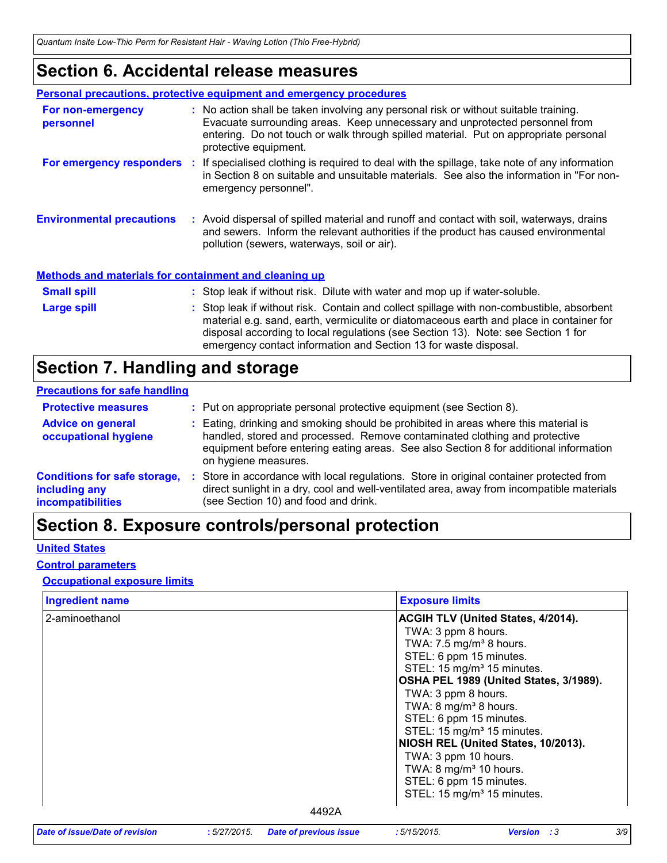### **Section 6. Accidental release measures**

|                                                              | <b>Personal precautions, protective equipment and emergency procedures</b>                                                                                                                                                                                                                                                                    |
|--------------------------------------------------------------|-----------------------------------------------------------------------------------------------------------------------------------------------------------------------------------------------------------------------------------------------------------------------------------------------------------------------------------------------|
| For non-emergency<br>personnel                               | : No action shall be taken involving any personal risk or without suitable training.<br>Evacuate surrounding areas. Keep unnecessary and unprotected personnel from<br>entering. Do not touch or walk through spilled material. Put on appropriate personal<br>protective equipment.                                                          |
|                                                              | For emergency responders : If specialised clothing is required to deal with the spillage, take note of any information<br>in Section 8 on suitable and unsuitable materials. See also the information in "For non-<br>emergency personnel".                                                                                                   |
| <b>Environmental precautions</b>                             | : Avoid dispersal of spilled material and runoff and contact with soil, waterways, drains<br>and sewers. Inform the relevant authorities if the product has caused environmental<br>pollution (sewers, waterways, soil or air).                                                                                                               |
| <b>Methods and materials for containment and cleaning up</b> |                                                                                                                                                                                                                                                                                                                                               |
| <b>Small spill</b>                                           | : Stop leak if without risk. Dilute with water and mop up if water-soluble.                                                                                                                                                                                                                                                                   |
| <b>Large spill</b>                                           | : Stop leak if without risk. Contain and collect spillage with non-combustible, absorbent<br>material e.g. sand, earth, vermiculite or diatomaceous earth and place in container for<br>disposal according to local regulations (see Section 13). Note: see Section 1 for<br>emergency contact information and Section 13 for waste disposal. |

### **Section 7. Handling and storage**

#### **Precautions for safe handling**

| <b>Protective measures</b>                                                       | : Put on appropriate personal protective equipment (see Section 8).                                                                                                                                                                                                                |
|----------------------------------------------------------------------------------|------------------------------------------------------------------------------------------------------------------------------------------------------------------------------------------------------------------------------------------------------------------------------------|
| <b>Advice on general</b><br>occupational hygiene                                 | : Eating, drinking and smoking should be prohibited in areas where this material is<br>handled, stored and processed. Remove contaminated clothing and protective<br>equipment before entering eating areas. See also Section 8 for additional information<br>on hygiene measures. |
| <b>Conditions for safe storage,</b><br>including any<br><b>incompatibilities</b> | Store in accordance with local regulations. Store in original container protected from<br>direct sunlight in a dry, cool and well-ventilated area, away from incompatible materials<br>(see Section 10) and food and drink.                                                        |

### **Section 8. Exposure controls/personal protection**

### **United States**

#### **Control parameters**

### **Occupational exposure limits**

| <b>Ingredient name</b> | <b>Exposure limits</b>                                                                                                                                                                                                                                                                                                                                                                                                                                                                                                         |
|------------------------|--------------------------------------------------------------------------------------------------------------------------------------------------------------------------------------------------------------------------------------------------------------------------------------------------------------------------------------------------------------------------------------------------------------------------------------------------------------------------------------------------------------------------------|
| 2-aminoethanol         | <b>ACGIH TLV (United States, 4/2014).</b><br>TWA: 3 ppm 8 hours.<br>TWA: $7.5 \text{ mg/m}^3$ 8 hours.<br>STEL: 6 ppm 15 minutes.<br>STEL: 15 mg/m <sup>3</sup> 15 minutes.<br>OSHA PEL 1989 (United States, 3/1989).<br>TWA: 3 ppm 8 hours.<br>TWA: $8 \text{ mg/m}^3$ 8 hours.<br>STEL: 6 ppm 15 minutes.<br>STEL: 15 mg/m <sup>3</sup> 15 minutes.<br>NIOSH REL (United States, 10/2013).<br>TWA: 3 ppm 10 hours.<br>TWA: $8 \text{ mg/m}^3$ 10 hours.<br>STEL: 6 ppm 15 minutes.<br>STEL: 15 mg/m <sup>3</sup> 15 minutes. |
|                        | 4492A                                                                                                                                                                                                                                                                                                                                                                                                                                                                                                                          |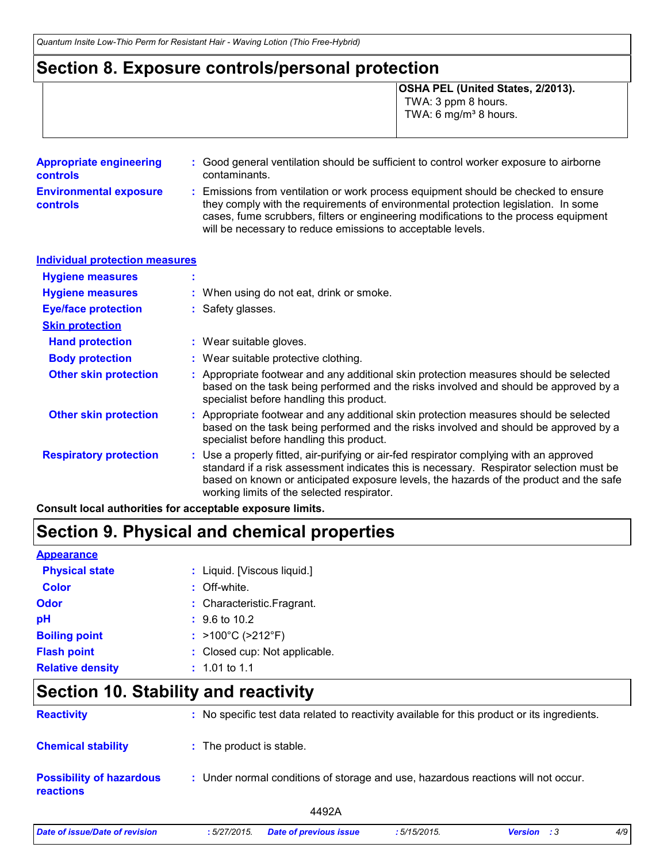### **Section 8. Exposure controls/personal protection**

**OSHA PEL (United States, 2/2013).** TWA: 3 ppm 8 hours. TWA: 6 mg/m $3$  8 hours.

| <b>Appropriate engineering</b><br><b>controls</b> | : Good general ventilation should be sufficient to control worker exposure to airborne<br>contaminants.                                                                                                                                                                                                                         |
|---------------------------------------------------|---------------------------------------------------------------------------------------------------------------------------------------------------------------------------------------------------------------------------------------------------------------------------------------------------------------------------------|
| <b>Environmental exposure</b><br><b>controls</b>  | : Emissions from ventilation or work process equipment should be checked to ensure<br>they comply with the requirements of environmental protection legislation. In some<br>cases, fume scrubbers, filters or engineering modifications to the process equipment<br>will be necessary to reduce emissions to acceptable levels. |

| <b>Individual protection measures</b> |                                                                                                                                                                                                                                                                                                                            |
|---------------------------------------|----------------------------------------------------------------------------------------------------------------------------------------------------------------------------------------------------------------------------------------------------------------------------------------------------------------------------|
| <b>Hygiene measures</b>               |                                                                                                                                                                                                                                                                                                                            |
| <b>Hygiene measures</b>               | : When using do not eat, drink or smoke.                                                                                                                                                                                                                                                                                   |
| <b>Eye/face protection</b>            | : Safety glasses.                                                                                                                                                                                                                                                                                                          |
| <b>Skin protection</b>                |                                                                                                                                                                                                                                                                                                                            |
| <b>Hand protection</b>                | : Wear suitable gloves.                                                                                                                                                                                                                                                                                                    |
| <b>Body protection</b>                | : Wear suitable protective clothing.                                                                                                                                                                                                                                                                                       |
| <b>Other skin protection</b>          | : Appropriate footwear and any additional skin protection measures should be selected<br>based on the task being performed and the risks involved and should be approved by a<br>specialist before handling this product.                                                                                                  |
| <b>Other skin protection</b>          | : Appropriate footwear and any additional skin protection measures should be selected<br>based on the task being performed and the risks involved and should be approved by a<br>specialist before handling this product.                                                                                                  |
| <b>Respiratory protection</b>         | : Use a properly fitted, air-purifying or air-fed respirator complying with an approved<br>standard if a risk assessment indicates this is necessary. Respirator selection must be<br>based on known or anticipated exposure levels, the hazards of the product and the safe<br>working limits of the selected respirator. |

**Consult local authorities for acceptable exposure limits.**

### **Section 9. Physical and chemical properties**

| <b>Appearance</b>       |                                        |
|-------------------------|----------------------------------------|
| <b>Physical state</b>   | : Liquid. [Viscous liquid.]            |
| <b>Color</b>            | : Off-white.                           |
| Odor                    | : Characteristic. Fragrant.            |
| рH                      | $\div$ 9.6 to 10.2                     |
| <b>Boiling point</b>    | : $>100^{\circ}$ C ( $>212^{\circ}$ F) |
| <b>Flash point</b>      | : Closed cup: Not applicable.          |
| <b>Relative density</b> | $: 1.01$ to 1.1                        |

### **Section 10. Stability and reactivity**

| <b>Reactivity</b>                                   | : No specific test data related to reactivity available for this product or its ingredients. |
|-----------------------------------------------------|----------------------------------------------------------------------------------------------|
| <b>Chemical stability</b>                           | : The product is stable.                                                                     |
| <b>Possibility of hazardous</b><br><b>reactions</b> | : Under normal conditions of storage and use, hazardous reactions will not occur.            |
|                                                     | 4492A                                                                                        |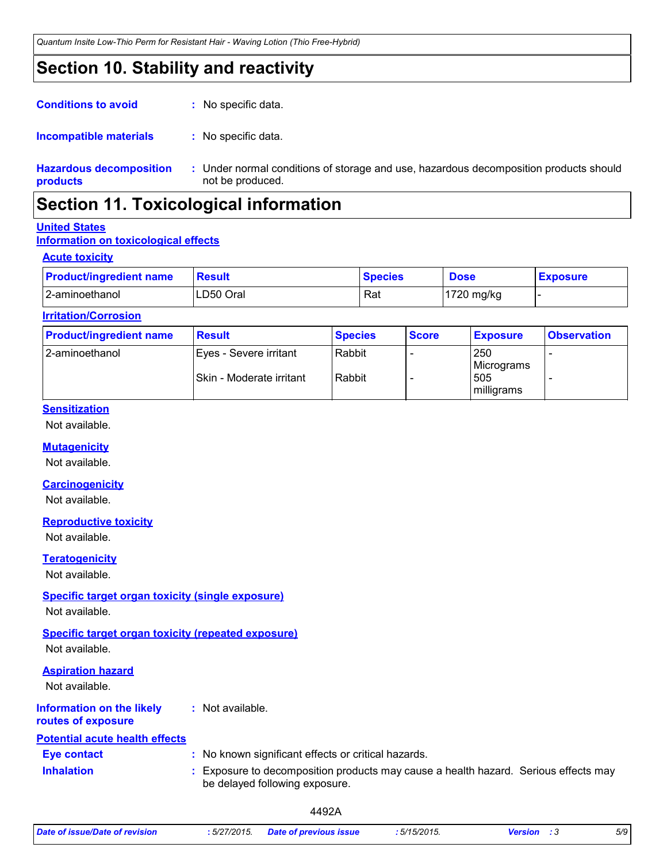### **Section 10. Stability and reactivity**

| <b>Conditions to avoid</b>                 | : No specific data.                          |
|--------------------------------------------|----------------------------------------------|
| Incompatible materials                     | : No specific data.                          |
| <b>Hazardous decomposition</b><br>products | : Under normal condition<br>not be produced. |

ions of storage and use, hazardous decomposition products should

### **Section 11. Toxicological information**

#### **United States**

### **Information on toxicological effects**

#### **Acute toxicity**

| <b>Product/ingredient name</b> | Result    | <b>Species</b> | <b>Dose</b> | <b>Exposure</b> |
|--------------------------------|-----------|----------------|-------------|-----------------|
| 2-aminoethanol                 | LD50 Oral | Rat            | 1720 mg/kg  |                 |

#### **Irritation/Corrosion**

| <b>Product/ingredient name</b> | <b>Result</b>                                       | <b>Species</b>   | <b>Score</b> | <b>Exposure</b>                        | <b>Observation</b> |
|--------------------------------|-----------------------------------------------------|------------------|--------------|----------------------------------------|--------------------|
| l 2-aminoethanol               | IEyes - Severe irritant<br>Skin - Moderate irritant | Rabbit<br>Rabbit |              | 250<br>Micrograms<br>505<br>milligrams |                    |

### **Sensitization**

Not available.

#### **Mutagenicity**

Not available.

#### **Carcinogenicity**

Not available.

#### **Reproductive toxicity**

Not available.

#### **Teratogenicity**

Not available.

### **Specific target organ toxicity (single exposure)**

Not available.

### **Specific target organ toxicity (repeated exposure)**

Not available.

### **Information on the likely Aspiration hazard** Not available.

**:** Not available.

#### **routes of exposure**

### **Inhalation 19.1 Exposure to decomposition products may cause a health hazard. Serious effects may Eye contact :** No known significant effects or critical hazards. **Potential acute health effects**

be delayed following exposure.

4492A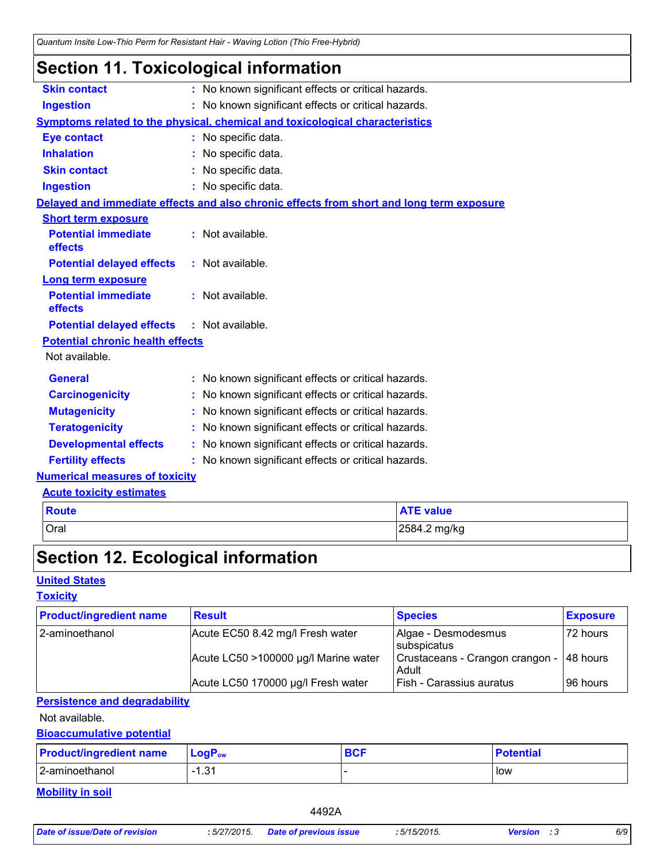### **Section 11. Toxicological information**

| <b>Skin contact</b>                     | : No known significant effects or critical hazards.                                      |
|-----------------------------------------|------------------------------------------------------------------------------------------|
| <b>Ingestion</b>                        | : No known significant effects or critical hazards.                                      |
|                                         | <b>Symptoms related to the physical, chemical and toxicological characteristics</b>      |
| <b>Eye contact</b>                      | : No specific data.                                                                      |
| <b>Inhalation</b>                       | : No specific data.                                                                      |
| <b>Skin contact</b>                     | : No specific data.                                                                      |
| <b>Ingestion</b>                        | : No specific data.                                                                      |
|                                         | Delayed and immediate effects and also chronic effects from short and long term exposure |
| <b>Short term exposure</b>              |                                                                                          |
| <b>Potential immediate</b><br>effects   | : Not available.                                                                         |
| <b>Potential delayed effects</b>        | : Not available.                                                                         |
| <b>Long term exposure</b>               |                                                                                          |
| <b>Potential immediate</b><br>effects   | : Not available.                                                                         |
| <b>Potential delayed effects</b>        | : Not available.                                                                         |
| <b>Potential chronic health effects</b> |                                                                                          |
| Not available.                          |                                                                                          |
| <b>General</b>                          | : No known significant effects or critical hazards.                                      |
| <b>Carcinogenicity</b>                  | : No known significant effects or critical hazards.                                      |
| <b>Mutagenicity</b>                     | No known significant effects or critical hazards.                                        |
| <b>Teratogenicity</b>                   | No known significant effects or critical hazards.                                        |
| <b>Developmental effects</b>            | : No known significant effects or critical hazards.                                      |
| <b>Fertility effects</b>                | : No known significant effects or critical hazards.                                      |
| <b>Numerical measures of toxicity</b>   |                                                                                          |
| <b>Acute toxicity estimates</b>         |                                                                                          |

| <b>Route</b> | <b>ATE value</b> |
|--------------|------------------|
| <b>Oral</b>  | 2584.2 mg/kg     |
|              |                  |

## **Section 12. Ecological information**

### **United States**

### **Toxicity**

| <b>Product/ingredient name</b> | <b>Result</b>                        | <b>Species</b>                                     | <b>Exposure</b> |
|--------------------------------|--------------------------------------|----------------------------------------------------|-----------------|
| 2-aminoethanol                 | Acute EC50 8.42 mg/l Fresh water     | Algae - Desmodesmus<br>subspicatus                 | 72 hours        |
|                                | Acute LC50 >100000 µg/l Marine water | Crustaceans - Crangon crangon - 148 hours<br>Adult |                 |
|                                | Acute LC50 170000 µg/l Fresh water   | Fish - Carassius auratus                           | l 96 hours      |

### **Persistence and degradability**

Not available.

### **Bioaccumulative potential**

| <b>Product/ingredient name</b> | <b>LogP</b> <sub>ow</sub> | <b>BCF</b> | <b>Potential</b> |
|--------------------------------|---------------------------|------------|------------------|
| 2-aminoethanol                 | 1.21<br>ا ب. ا            |            | low              |

**Mobility in soil**

4492A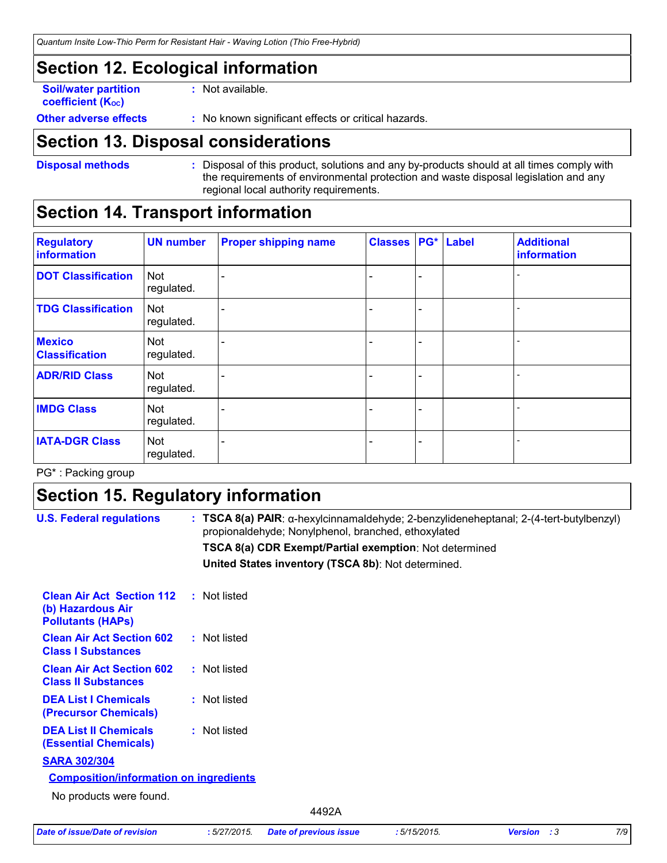### **Section 12. Ecological information**

**Soil/water partition coefficient (Koc)** 

**:** Not available.

**Other adverse effects** : No known significant effects or critical hazards.

### **Section 13. Disposal considerations**

**Disposal methods :**

Disposal of this product, solutions and any by-products should at all times comply with the requirements of environmental protection and waste disposal legislation and any regional local authority requirements.

### **Section 14. Transport information**

| <b>Regulatory</b><br>information       | <b>UN number</b>         | <b>Proper shipping name</b> | <b>Classes</b> | PG* | <b>Label</b> | <b>Additional</b><br>information |
|----------------------------------------|--------------------------|-----------------------------|----------------|-----|--------------|----------------------------------|
| <b>DOT Classification</b>              | <b>Not</b><br>regulated. |                             |                |     |              |                                  |
| <b>TDG Classification</b>              | <b>Not</b><br>regulated. |                             |                |     |              |                                  |
| <b>Mexico</b><br><b>Classification</b> | Not<br>regulated.        |                             |                | ۰   |              |                                  |
| <b>ADR/RID Class</b>                   | <b>Not</b><br>regulated. |                             |                | ۰   |              |                                  |
| <b>IMDG Class</b>                      | <b>Not</b><br>regulated. |                             |                | -   |              |                                  |
| <b>IATA-DGR Class</b>                  | <b>Not</b><br>regulated. |                             |                | -   |              |                                  |

PG\* : Packing group

### **Section 15. Regulatory information**

| <b>U.S. Federal regulations</b>                                                   | : TSCA 8(a) PAIR: α-hexylcinnamaldehyde; 2-benzylideneheptanal; $2-(4$ -tert-butylbenzyl)<br>propionaldehyde; Nonylphenol, branched, ethoxylated |
|-----------------------------------------------------------------------------------|--------------------------------------------------------------------------------------------------------------------------------------------------|
|                                                                                   | TSCA 8(a) CDR Exempt/Partial exemption: Not determined                                                                                           |
|                                                                                   | United States inventory (TSCA 8b): Not determined.                                                                                               |
| <b>Clean Air Act Section 112</b><br>(b) Hazardous Air<br><b>Pollutants (HAPS)</b> | : Not listed                                                                                                                                     |
| <b>Clean Air Act Section 602</b><br><b>Class I Substances</b>                     | : Not listed                                                                                                                                     |
| <b>Clean Air Act Section 602</b><br><b>Class II Substances</b>                    | : Not listed                                                                                                                                     |
| <b>DEA List I Chemicals</b><br>(Precursor Chemicals)                              | : Not listed                                                                                                                                     |
| <b>DEA List II Chemicals</b><br><b>(Essential Chemicals)</b>                      | : Not listed                                                                                                                                     |
| <b>SARA 302/304</b>                                                               |                                                                                                                                                  |
| <b>Composition/information on ingredients</b>                                     |                                                                                                                                                  |
| No products were found.                                                           |                                                                                                                                                  |
|                                                                                   | 4492A                                                                                                                                            |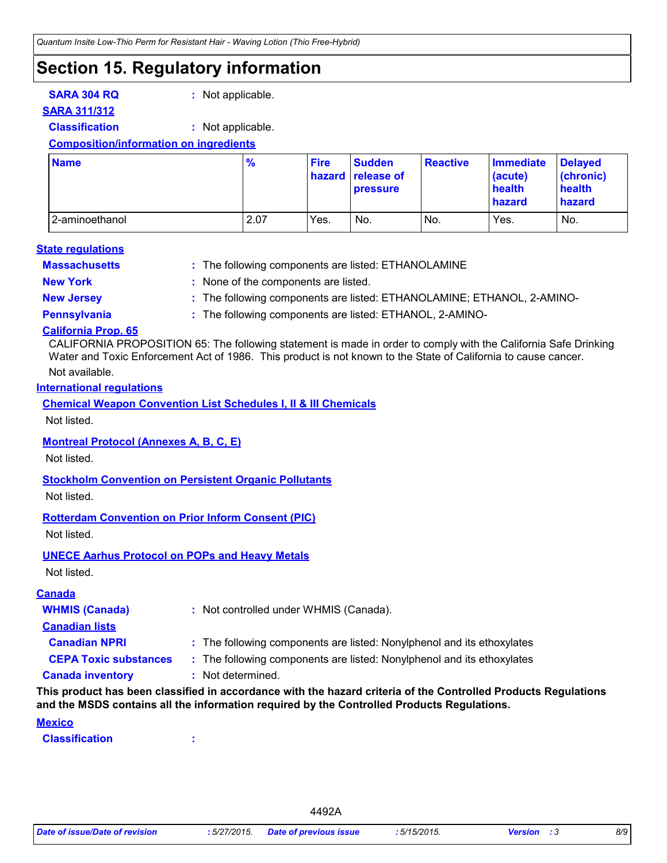### **Section 15. Regulatory information**

**SARA 304 RQ :** Not applicable.

### **SARA 311/312**

**Classification :** Not applicable.

### **Composition/information on ingredients**

| <b>Name</b>    | $\frac{9}{6}$ | <b>Fire</b> | <b>Sudden</b><br>hazard release of<br><b>pressure</b> | <b>Reactive</b> | <b>Immediate</b><br>(acute)<br>health<br>hazard | <b>Delaved</b><br>(chronic)<br>health<br><b>hazard</b> |
|----------------|---------------|-------------|-------------------------------------------------------|-----------------|-------------------------------------------------|--------------------------------------------------------|
| 2-aminoethanol | 2.07          | Yes.        | No.                                                   | No.             | Yes.                                            | No.                                                    |

#### **State regulations**

**Massachusetts :**

: The following components are listed: ETHANOLAMINE

- 
- **New York :** None of the components are listed.
- **New Jersey :** The following components are listed: ETHANOLAMINE; ETHANOL, 2-AMINO-

**Pennsylvania :** The following components are listed: ETHANOL, 2-AMINO-

#### **California Prop. 65**

Not available. CALIFORNIA PROPOSITION 65: The following statement is made in order to comply with the California Safe Drinking Water and Toxic Enforcement Act of 1986. This product is not known to the State of California to cause cancer.

#### **International regulations**

**Chemical Weapon Convention List Schedules I, II & III Chemicals**

Not listed.

### **Montreal Protocol (Annexes A, B, C, E)**

Not listed.

#### **Stockholm Convention on Persistent Organic Pollutants**

Not listed.

#### **Rotterdam Convention on Prior Inform Consent (PIC)**

Not listed.

#### **UNECE Aarhus Protocol on POPs and Heavy Metals**

Not listed.

### **Canada inventory :** Not determined. **CEPA Toxic substances :** The following components are listed: Nonylphenol and its ethoxylates **Canadian NPRI :** The following components are listed: Nonylphenol and its ethoxylates **Canadian lists WHMIS (Canada) :** Not controlled under WHMIS (Canada). **Canada**

#### **This product has been classified in accordance with the hazard criteria of the Controlled Products Regulations and the MSDS contains all the information required by the Controlled Products Regulations.**

#### **Mexico**

**Classification :**